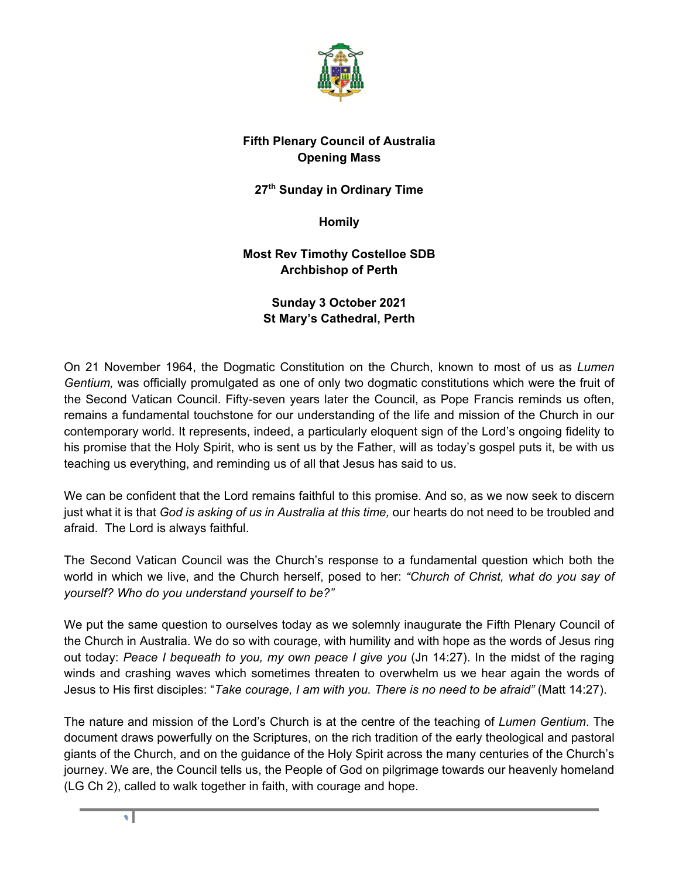

## **Fifth Plenary Council of Australia Opening Mass**

**27th Sunday in Ordinary Time** 

**Homily** 

**Most Rev Timothy Costelloe SDB Archbishop of Perth**

> **Sunday 3 October 2021 St Mary's Cathedral, Perth**

On 21 November 1964, the Dogmatic Constitution on the Church, known to most of us as *Lumen Gentium,* was officially promulgated as one of only two dogmatic constitutions which were the fruit of the Second Vatican Council. Fifty-seven years later the Council, as Pope Francis reminds us often, remains a fundamental touchstone for our understanding of the life and mission of the Church in our contemporary world. It represents, indeed, a particularly eloquent sign of the Lord's ongoing fidelity to his promise that the Holy Spirit, who is sent us by the Father, will as today's gospel puts it, be with us teaching us everything, and reminding us of all that Jesus has said to us.

We can be confident that the Lord remains faithful to this promise. And so, as we now seek to discern just what it is that *God is asking of us in Australia at this time,* our hearts do not need to be troubled and afraid. The Lord is always faithful.

The Second Vatican Council was the Church's response to a fundamental question which both the world in which we live, and the Church herself, posed to her: *"Church of Christ, what do you say of yourself? Who do you understand yourself to be?"*

We put the same question to ourselves today as we solemnly inaugurate the Fifth Plenary Council of the Church in Australia. We do so with courage, with humility and with hope as the words of Jesus ring out today: *Peace I bequeath to you, my own peace I give you* (Jn 14:27). In the midst of the raging winds and crashing waves which sometimes threaten to overwhelm us we hear again the words of Jesus to His first disciples: "*Take courage, I am with you. There is no need to be afraid"* (Matt 14:27).

The nature and mission of the Lord's Church is at the centre of the teaching of *Lumen Gentium*. The document draws powerfully on the Scriptures, on the rich tradition of the early theological and pastoral giants of the Church, and on the guidance of the Holy Spirit across the many centuries of the Church's journey. We are, the Council tells us, the People of God on pilgrimage towards our heavenly homeland (LG Ch 2), called to walk together in faith, with courage and hope.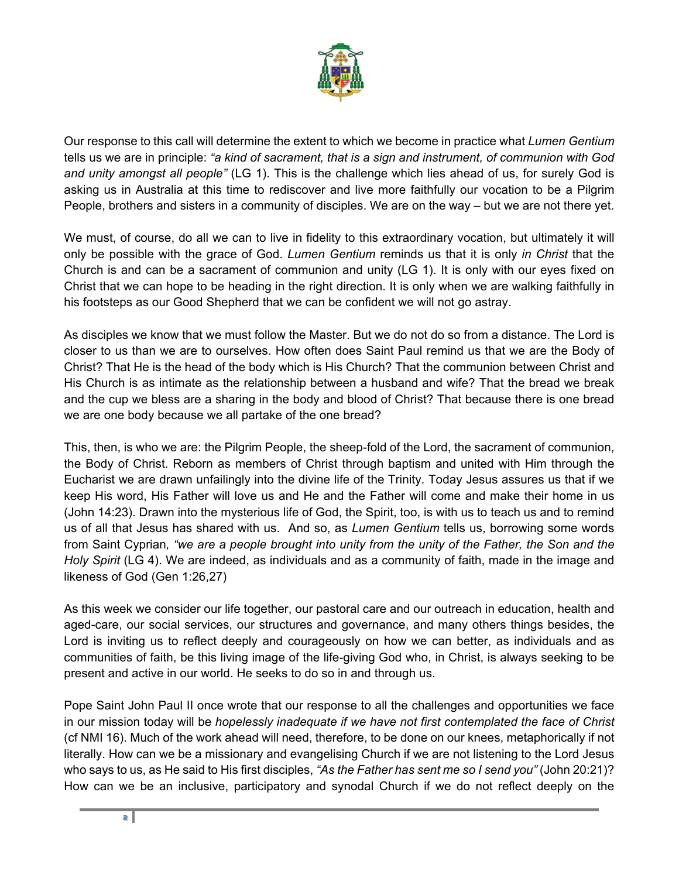

Our response to this call will determine the extent to which we become in practice what *Lumen Gentium*  tells us we are in principle: *"a kind of sacrament, that is a sign and instrument, of communion with God and unity amongst all people"* (LG 1). This is the challenge which lies ahead of us, for surely God is asking us in Australia at this time to rediscover and live more faithfully our vocation to be a Pilgrim People, brothers and sisters in a community of disciples. We are on the way – but we are not there yet.

We must, of course, do all we can to live in fidelity to this extraordinary vocation, but ultimately it will only be possible with the grace of God. *Lumen Gentium* reminds us that it is only *in Christ* that the Church is and can be a sacrament of communion and unity (LG 1). It is only with our eyes fixed on Christ that we can hope to be heading in the right direction. It is only when we are walking faithfully in his footsteps as our Good Shepherd that we can be confident we will not go astray.

As disciples we know that we must follow the Master. But we do not do so from a distance. The Lord is closer to us than we are to ourselves. How often does Saint Paul remind us that we are the Body of Christ? That He is the head of the body which is His Church? That the communion between Christ and His Church is as intimate as the relationship between a husband and wife? That the bread we break and the cup we bless are a sharing in the body and blood of Christ? That because there is one bread we are one body because we all partake of the one bread?

This, then, is who we are: the Pilgrim People, the sheep-fold of the Lord, the sacrament of communion, the Body of Christ. Reborn as members of Christ through baptism and united with Him through the Eucharist we are drawn unfailingly into the divine life of the Trinity. Today Jesus assures us that if we keep His word, His Father will love us and He and the Father will come and make their home in us (John 14:23). Drawn into the mysterious life of God, the Spirit, too, is with us to teach us and to remind us of all that Jesus has shared with us. And so, as *Lumen Gentium* tells us, borrowing some words from Saint Cyprian*, "we are a people brought into unity from the unity of the Father, the Son and the Holy Spirit* (LG 4). We are indeed, as individuals and as a community of faith, made in the image and likeness of God (Gen 1:26,27)

As this week we consider our life together, our pastoral care and our outreach in education, health and aged-care, our social services, our structures and governance, and many others things besides, the Lord is inviting us to reflect deeply and courageously on how we can better, as individuals and as communities of faith, be this living image of the life-giving God who, in Christ, is always seeking to be present and active in our world. He seeks to do so in and through us.

Pope Saint John Paul II once wrote that our response to all the challenges and opportunities we face in our mission today will be *hopelessly inadequate if we have not first contemplated the face of Christ* (cf NMI 16). Much of the work ahead will need, therefore, to be done on our knees, metaphorically if not literally. How can we be a missionary and evangelising Church if we are not listening to the Lord Jesus who says to us, as He said to His first disciples, *"As the Father has sent me so I send you"* (John 20:21)? How can we be an inclusive, participatory and synodal Church if we do not reflect deeply on the